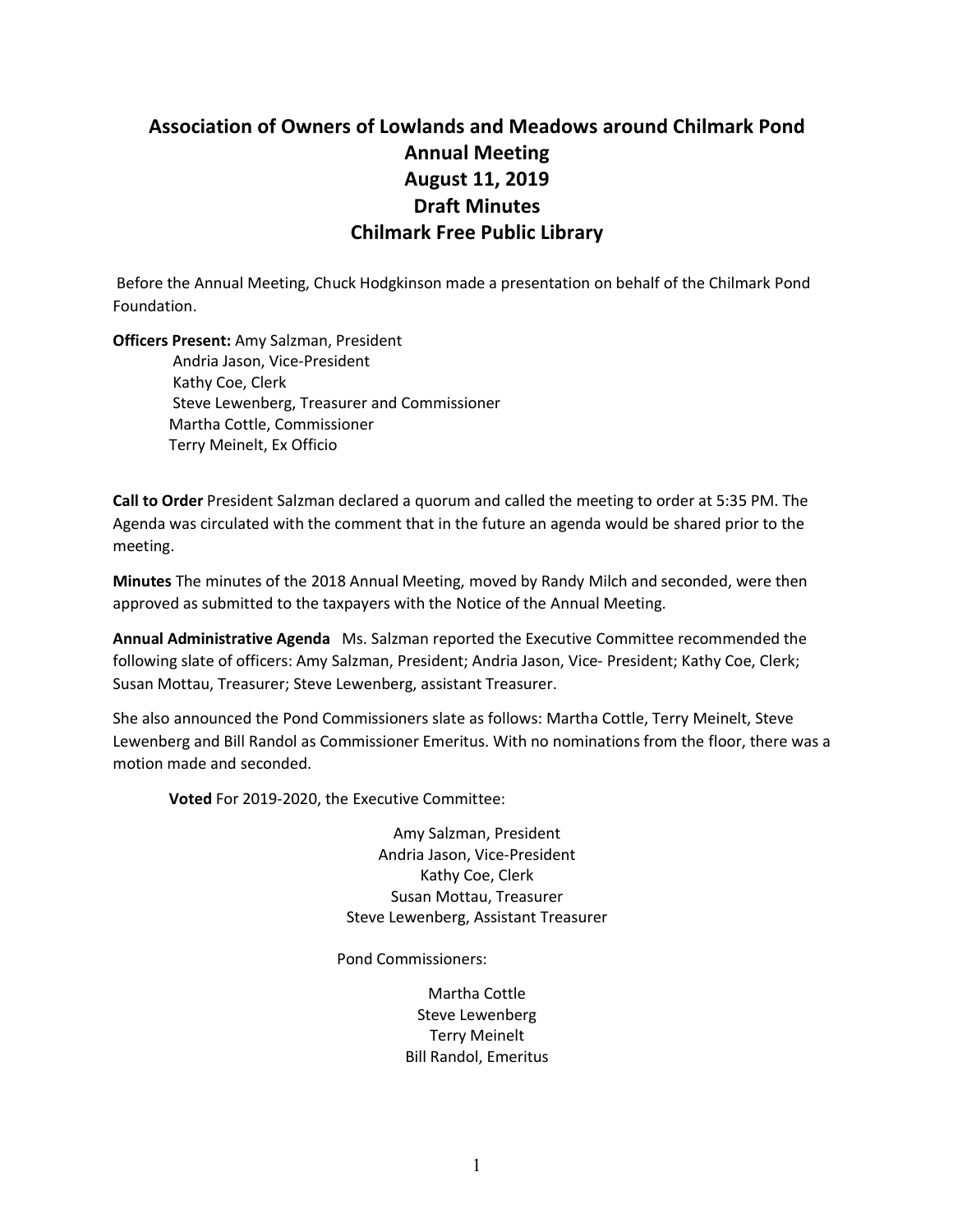## **Association of Owners of Lowlands and Meadows around Chilmark Pond Annual Meeting August 11, 2019 Draft Minutes Chilmark Free Public Library**

Before the Annual Meeting, Chuck Hodgkinson made a presentation on behalf of the Chilmark Pond Foundation.

**Officers Present:** Amy Salzman, President Andria Jason, Vice-President Kathy Coe, Clerk Steve Lewenberg, Treasurer and Commissioner Martha Cottle, Commissioner Terry Meinelt, Ex Officio

**Call to Order** President Salzman declared a quorum and called the meeting to order at 5:35 PM. The Agenda was circulated with the comment that in the future an agenda would be shared prior to the meeting.

**Minutes** The minutes of the 2018 Annual Meeting, moved by Randy Milch and seconded, were then approved as submitted to the taxpayers with the Notice of the Annual Meeting.

**Annual Administrative Agenda** Ms. Salzman reported the Executive Committee recommended the following slate of officers: Amy Salzman, President; Andria Jason, Vice- President; Kathy Coe, Clerk; Susan Mottau, Treasurer; Steve Lewenberg, assistant Treasurer.

She also announced the Pond Commissioners slate as follows: Martha Cottle, Terry Meinelt, Steve Lewenberg and Bill Randol as Commissioner Emeritus. With no nominationsfrom the floor, there was a motion made and seconded.

**Voted** For 2019-2020, the Executive Committee:

Amy Salzman, President Andria Jason, Vice-President Kathy Coe, Clerk Susan Mottau, Treasurer Steve Lewenberg, Assistant Treasurer

Pond Commissioners:

Martha Cottle Steve Lewenberg Terry Meinelt Bill Randol, Emeritus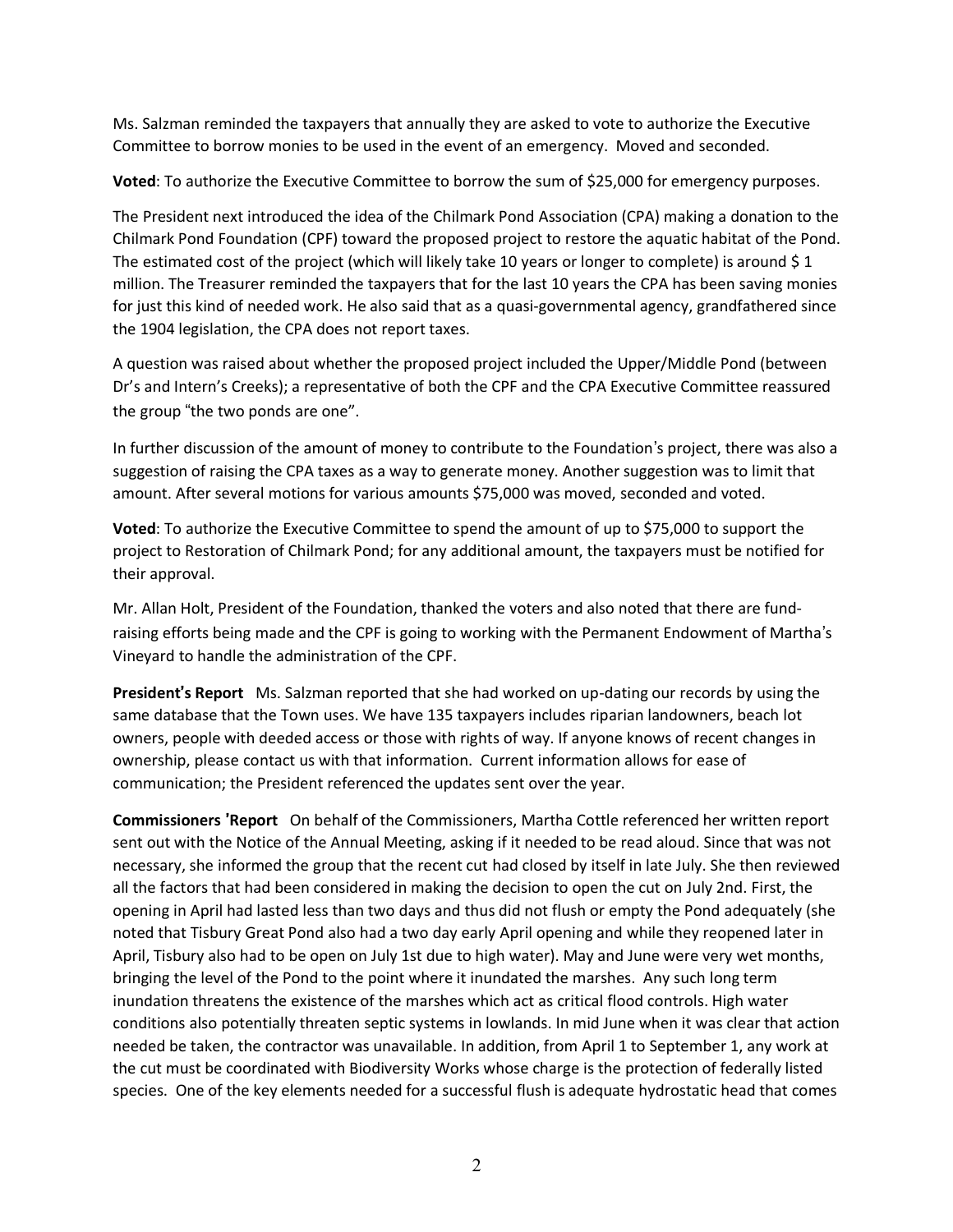Ms. Salzman reminded the taxpayers that annually they are asked to vote to authorize the Executive Committee to borrow monies to be used in the event of an emergency. Moved and seconded.

**Voted**: To authorize the Executive Committee to borrow the sum of \$25,000 for emergency purposes.

The President next introduced the idea of the Chilmark Pond Association (CPA) making a donation to the Chilmark Pond Foundation (CPF) toward the proposed project to restore the aquatic habitat of the Pond. The estimated cost of the project (which will likely take 10 years or longer to complete) is around \$ 1 million. The Treasurer reminded the taxpayers that for the last 10 years the CPA has been saving monies for just this kind of needed work. He also said that as a quasi-governmental agency, grandfathered since the 1904 legislation, the CPA does not report taxes.

A question was raised about whether the proposed project included the Upper/Middle Pond (between Dr's and Intern's Creeks); a representative of both the CPF and the CPA Executive Committee reassured the group "the two ponds are one".

In further discussion of the amount of money to contribute to the Foundation's project, there was also a suggestion of raising the CPA taxes as a way to generate money. Another suggestion was to limit that amount. After several motions for various amounts \$75,000 was moved, seconded and voted.

**Voted**: To authorize the Executive Committee to spend the amount of up to \$75,000 to support the project to Restoration of Chilmark Pond; for any additional amount, the taxpayers must be notified for their approval.

Mr. Allan Holt, President of the Foundation, thanked the voters and also noted that there are fundraising efforts being made and the CPF is going to working with the Permanent Endowment of Martha's Vineyard to handle the administration of the CPF.

**President**'**s Report** Ms. Salzman reported that she had worked on up-dating our records by using the same database that the Town uses. We have 135 taxpayers includes riparian landowners, beach lot owners, people with deeded access or those with rights of way. If anyone knows of recent changes in ownership, please contact us with that information. Current information allows for ease of communication; the President referenced the updates sent over the year.

**Commissioners** '**Report** On behalf of the Commissioners, Martha Cottle referenced her written report sent out with the Notice of the Annual Meeting, asking if it needed to be read aloud. Since that was not necessary, she informed the group that the recent cut had closed by itself in late July. She then reviewed all the factors that had been considered in making the decision to open the cut on July 2nd. First, the opening in April had lasted less than two days and thus did not flush or empty the Pond adequately (she noted that Tisbury Great Pond also had a two day early April opening and while they reopened later in April, Tisbury also had to be open on July 1st due to high water). May and June were very wet months, bringing the level of the Pond to the point where it inundated the marshes. Any such long term inundation threatens the existence of the marshes which act as critical flood controls. High water conditions also potentially threaten septic systems in lowlands. In mid June when it was clear that action needed be taken, the contractor was unavailable. In addition, from April 1 to September 1, any work at the cut must be coordinated with Biodiversity Works whose charge is the protection of federally listed species. One of the key elements needed for a successful flush is adequate hydrostatic head that comes